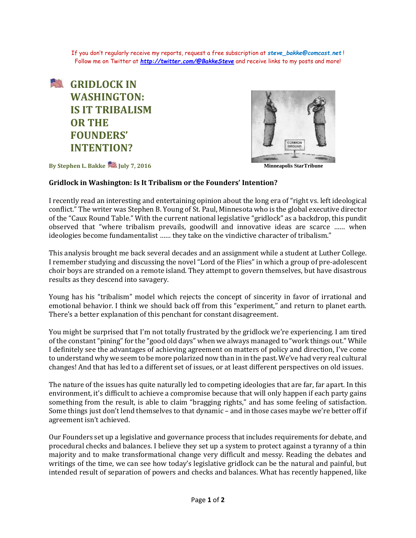If you don't regularly receive my reports, request a free subscription at *[steve\\_bakke@comcast.net](mailto:steve_bakke@comcast.net)* ! Follow me on Twitter at *<http://twitter.com/@BakkeSteve>* and receive links to my posts and more!





**By Stephen L. Bakke StarTribune** July 7, 2016 **Minneapolis StarTribune** 

## **Gridlock in Washington: Is It Tribalism or the Founders' Intention?**

I recently read an interesting and entertaining opinion about the long era of "right vs. left ideological conflict." The writer was Stephen B. Young of St. Paul, Minnesota who is the global executive director of the "Caux Round Table." With the current national legislative "gridlock" as a backdrop, this pundit observed that "where tribalism prevails, goodwill and innovative ideas are scarce …… when ideologies become fundamentalist …… they take on the vindictive character of tribalism."

This analysis brought me back several decades and an assignment while a student at Luther College. I remember studying and discussing the novel "Lord of the Flies" in which a group of pre-adolescent choir boys are stranded on a remote island. They attempt to govern themselves, but have disastrous results as they descend into savagery.

Young has his "tribalism" model which rejects the concept of sincerity in favor of irrational and emotional behavior. I think we should back off from this "experiment," and return to planet earth. There's a better explanation of this penchant for constant disagreement.

You might be surprised that I'm not totally frustrated by the gridlock we're experiencing. I am tired of the constant "pining" for the "good old days" when we always managed to "work things out." While I definitely see the advantages of achieving agreement on matters of policy and direction, I've come to understand why we seem to be more polarized now than in in the past. We've had very real cultural changes! And that has led to a different set of issues, or at least different perspectives on old issues.

The nature of the issues has quite naturally led to competing ideologies that are far, far apart. In this environment, it's difficult to achieve a compromise because that will only happen if each party gains something from the result, is able to claim "bragging rights," and has some feeling of satisfaction. Some things just don't lend themselves to that dynamic – and in those cases maybe we're better off if agreement isn't achieved.

Our Founders set up a legislative and governance process that includes requirements for debate, and procedural checks and balances. I believe they set up a system to protect against a tyranny of a thin majority and to make transformational change very difficult and messy. Reading the debates and writings of the time, we can see how today's legislative gridlock can be the natural and painful, but intended result of separation of powers and checks and balances. What has recently happened, like